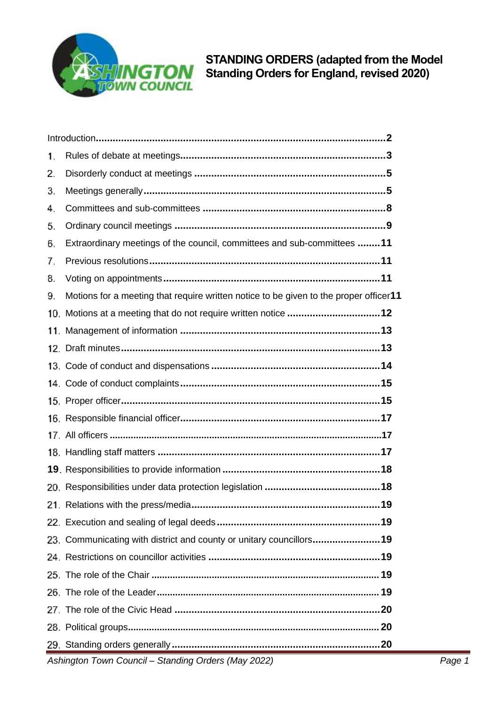

| 23. Communicating with district and county or unitary councillors19                   |  |
|---------------------------------------------------------------------------------------|--|
|                                                                                       |  |
|                                                                                       |  |
|                                                                                       |  |
|                                                                                       |  |
|                                                                                       |  |
|                                                                                       |  |
|                                                                                       |  |
|                                                                                       |  |
|                                                                                       |  |
|                                                                                       |  |
|                                                                                       |  |
|                                                                                       |  |
|                                                                                       |  |
|                                                                                       |  |
|                                                                                       |  |
|                                                                                       |  |
|                                                                                       |  |
|                                                                                       |  |
| Motions for a meeting that require written notice to be given to the proper officer11 |  |
|                                                                                       |  |
|                                                                                       |  |
| Extraordinary meetings of the council, committees and sub-committees 11               |  |
|                                                                                       |  |
|                                                                                       |  |
|                                                                                       |  |
|                                                                                       |  |
|                                                                                       |  |
|                                                                                       |  |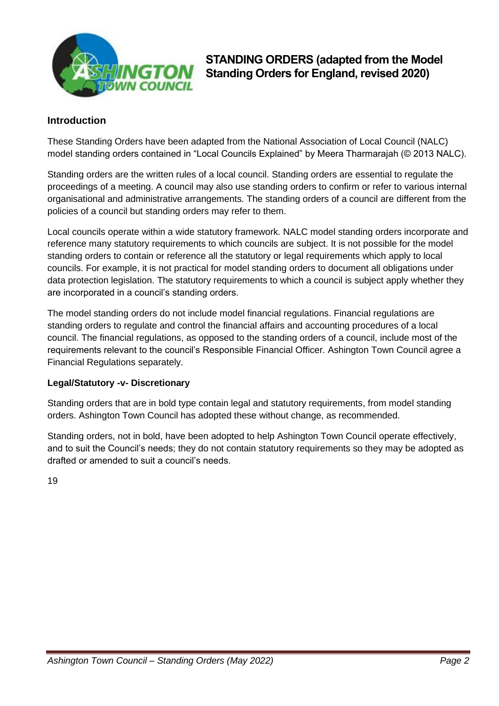

### <span id="page-1-0"></span>**Introduction**

These Standing Orders have been adapted from the National Association of Local Council (NALC) model standing orders contained in "Local Councils Explained" by Meera Tharmarajah (© 2013 NALC).

Standing orders are the written rules of a local council. Standing orders are essential to regulate the proceedings of a meeting. A council may also use standing orders to confirm or refer to various internal organisational and administrative arrangements. The standing orders of a council are different from the policies of a council but standing orders may refer to them.

Local councils operate within a wide statutory framework. NALC model standing orders incorporate and reference many statutory requirements to which councils are subject. It is not possible for the model standing orders to contain or reference all the statutory or legal requirements which apply to local councils. For example, it is not practical for model standing orders to document all obligations under data protection legislation. The statutory requirements to which a council is subject apply whether they are incorporated in a council's standing orders.

The model standing orders do not include model financial regulations. Financial regulations are standing orders to regulate and control the financial affairs and accounting procedures of a local council. The financial regulations, as opposed to the standing orders of a council, include most of the requirements relevant to the council's Responsible Financial Officer. Ashington Town Council agree a Financial Regulations separately.

### **Legal/Statutory -v- Discretionary**

Standing orders that are in bold type contain legal and statutory requirements, from model standing orders. Ashington Town Council has adopted these without change, as recommended.

Standing orders, not in bold, have been adopted to help Ashington Town Council operate effectively, and to suit the Council's needs; they do not contain statutory requirements so they may be adopted as drafted or amended to suit a council's needs.

19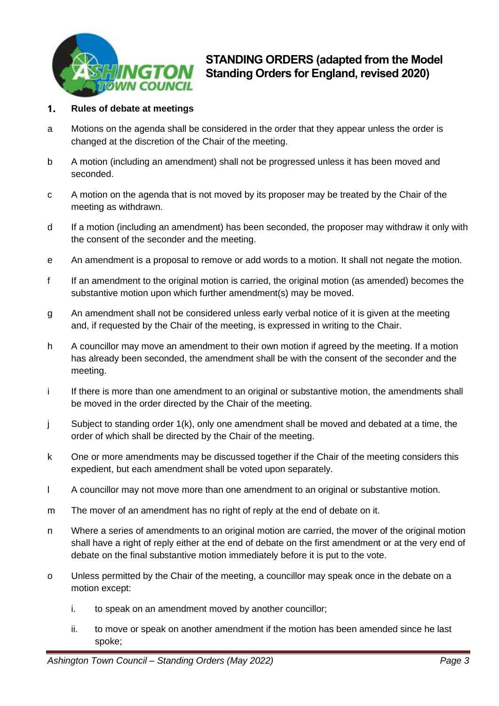

### <span id="page-2-0"></span> $\mathbf{1}$ . **Rules of debate at meetings**

- a Motions on the agenda shall be considered in the order that they appear unless the order is changed at the discretion of the Chair of the meeting.
- b A motion (including an amendment) shall not be progressed unless it has been moved and seconded.
- c A motion on the agenda that is not moved by its proposer may be treated by the Chair of the meeting as withdrawn.
- d If a motion (including an amendment) has been seconded, the proposer may withdraw it only with the consent of the seconder and the meeting.
- e An amendment is a proposal to remove or add words to a motion. It shall not negate the motion.
- f If an amendment to the original motion is carried, the original motion (as amended) becomes the substantive motion upon which further amendment(s) may be moved.
- g An amendment shall not be considered unless early verbal notice of it is given at the meeting and, if requested by the Chair of the meeting, is expressed in writing to the Chair.
- h A councillor may move an amendment to their own motion if agreed by the meeting. If a motion has already been seconded, the amendment shall be with the consent of the seconder and the meeting.
- i If there is more than one amendment to an original or substantive motion, the amendments shall be moved in the order directed by the Chair of the meeting.
- j Subject to standing order 1(k), only one amendment shall be moved and debated at a time, the order of which shall be directed by the Chair of the meeting.
- k One or more amendments may be discussed together if the Chair of the meeting considers this expedient, but each amendment shall be voted upon separately.
- l A councillor may not move more than one amendment to an original or substantive motion.
- m The mover of an amendment has no right of reply at the end of debate on it.
- n Where a series of amendments to an original motion are carried, the mover of the original motion shall have a right of reply either at the end of debate on the first amendment or at the very end of debate on the final substantive motion immediately before it is put to the vote.
- o Unless permitted by the Chair of the meeting, a councillor may speak once in the debate on a motion except:
	- i. to speak on an amendment moved by another councillor;
	- ii. to move or speak on another amendment if the motion has been amended since he last spoke;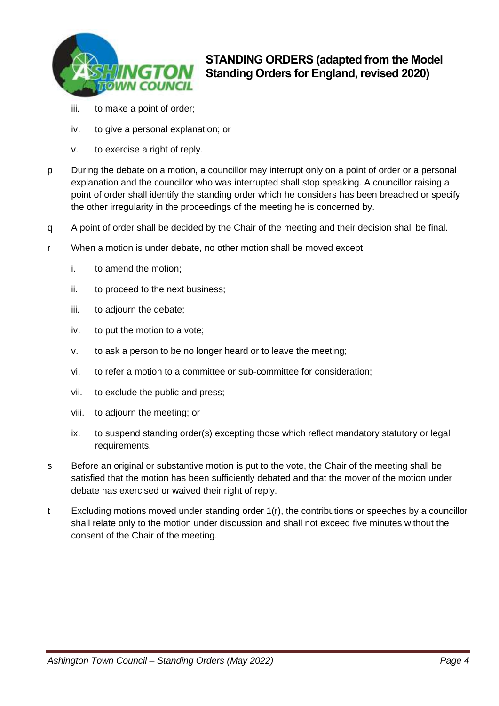

- iii. to make a point of order;
- iv. to give a personal explanation; or
- v. to exercise a right of reply.
- p During the debate on a motion, a councillor may interrupt only on a point of order or a personal explanation and the councillor who was interrupted shall stop speaking. A councillor raising a point of order shall identify the standing order which he considers has been breached or specify the other irregularity in the proceedings of the meeting he is concerned by.
- q A point of order shall be decided by the Chair of the meeting and their decision shall be final.
- r When a motion is under debate, no other motion shall be moved except:
	- i. to amend the motion;
	- ii. to proceed to the next business;
	- iii. to adjourn the debate;
	- iv. to put the motion to a vote;
	- v. to ask a person to be no longer heard or to leave the meeting;
	- vi. to refer a motion to a committee or sub-committee for consideration;
	- vii. to exclude the public and press;
	- viii. to adjourn the meeting; or
	- ix. to suspend standing order(s) excepting those which reflect mandatory statutory or legal requirements.
- s Before an original or substantive motion is put to the vote, the Chair of the meeting shall be satisfied that the motion has been sufficiently debated and that the mover of the motion under debate has exercised or waived their right of reply.
- <span id="page-3-0"></span>t Excluding motions moved under standing order 1(r), the contributions or speeches by a councillor shall relate only to the motion under discussion and shall not exceed five minutes without the consent of the Chair of the meeting.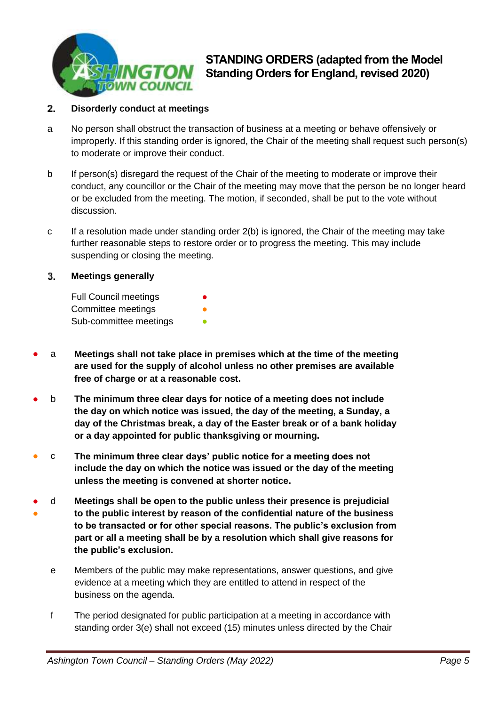

### $2.$ **Disorderly conduct at meetings**

- a No person shall obstruct the transaction of business at a meeting or behave offensively or improperly. If this standing order is ignored, the Chair of the meeting shall request such person(s) to moderate or improve their conduct.
- b If person(s) disregard the request of the Chair of the meeting to moderate or improve their conduct, any councillor or the Chair of the meeting may move that the person be no longer heard or be excluded from the meeting. The motion, if seconded, shall be put to the vote without discussion.
- c If a resolution made under standing order 2(b) is ignored, the Chair of the meeting may take further reasonable steps to restore order or to progress the meeting. This may include suspending or closing the meeting.

### <span id="page-4-0"></span>3. **Meetings generally**

| <b>Full Council meetings</b> | ● |
|------------------------------|---|
| Committee meetings           |   |
| Sub-committee meetings       |   |

- a **Meetings shall not take place in premises which at the time of the meeting are used for the supply of alcohol unless no other premises are available free of charge or at a reasonable cost.**
- b **The minimum three clear days for notice of a meeting does not include the day on which notice was issued, the day of the meeting, a Sunday, a day of the Christmas break, a day of the Easter break or of a bank holiday or a day appointed for public thanksgiving or mourning.**
- c **The minimum three clear days' public notice for a meeting does not include the day on which the notice was issued or the day of the meeting unless the meeting is convened at shorter notice.**
- ● d **Meetings shall be open to the public unless their presence is prejudicial to the public interest by reason of the confidential nature of the business to be transacted or for other special reasons. The public's exclusion from part or all a meeting shall be by a resolution which shall give reasons for the public's exclusion.**
	- e Members of the public may make representations, answer questions, and give evidence at a meeting which they are entitled to attend in respect of the business on the agenda.
	- f The period designated for public participation at a meeting in accordance with standing order 3(e) shall not exceed (15) minutes unless directed by the Chair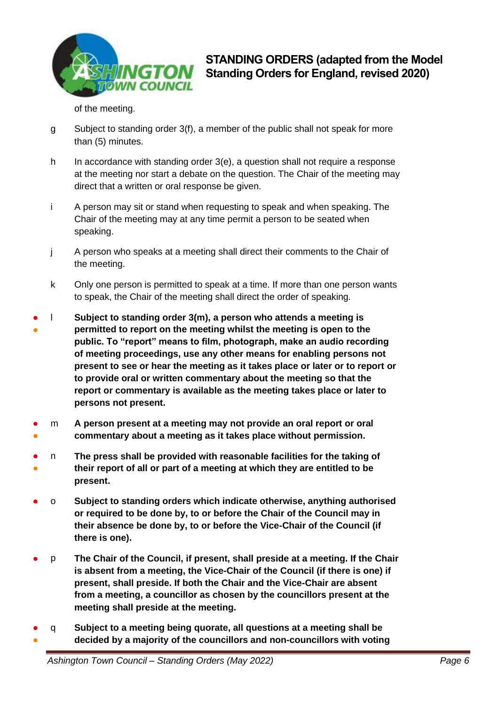

of the meeting.

- g Subject to standing order 3(f), a member of the public shall not speak for more than (5) minutes.
- h In accordance with standing order 3(e), a question shall not require a response at the meeting nor start a debate on the question. The Chair of the meeting may direct that a written or oral response be given.
- i A person may sit or stand when requesting to speak and when speaking. The Chair of the meeting may at any time permit a person to be seated when speaking.
- j A person who speaks at a meeting shall direct their comments to the Chair of the meeting.
- k Only one person is permitted to speak at a time. If more than one person wants to speak, the Chair of the meeting shall direct the order of speaking.
- ● l **Subject to standing order 3(m), a person who attends a meeting is permitted to report on the meeting whilst the meeting is open to the public. To "report" means to film, photograph, make an audio recording of meeting proceedings, use any other means for enabling persons not present to see or hear the meeting as it takes place or later or to report or to provide oral or written commentary about the meeting so that the report or commentary is available as the meeting takes place or later to persons not present.**
- ● m **A person present at a meeting may not provide an oral report or oral commentary about a meeting as it takes place without permission.**
- ● n **The press shall be provided with reasonable facilities for the taking of their report of all or part of a meeting at which they are entitled to be present.**
- o **Subject to standing orders which indicate otherwise, anything authorised or required to be done by, to or before the Chair of the Council may in their absence be done by, to or before the Vice-Chair of the Council (if there is one).**
- p **The Chair of the Council, if present, shall preside at a meeting. If the Chair is absent from a meeting, the Vice-Chair of the Council (if there is one) if present, shall preside. If both the Chair and the Vice-Chair are absent from a meeting, a councillor as chosen by the councillors present at the meeting shall preside at the meeting.**
- ● q **Subject to a meeting being quorate, all questions at a meeting shall be decided by a majority of the councillors and non-councillors with voting**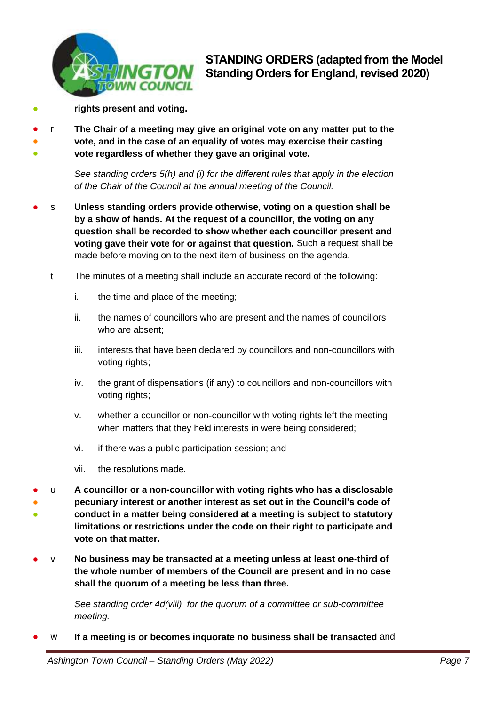

- **rights present and voting.**
- ● ● r **The Chair of a meeting may give an original vote on any matter put to the vote, and in the case of an equality of votes may exercise their casting vote regardless of whether they gave an original vote.**

*See standing orders 5(h) and (i) for the different rules that apply in the election of the Chair of the Council at the annual meeting of the Council.*

- s **Unless standing orders provide otherwise, voting on a question shall be by a show of hands. At the request of a councillor, the voting on any question shall be recorded to show whether each councillor present and voting gave their vote for or against that question.** Such a request shall be made before moving on to the next item of business on the agenda.
	- t The minutes of a meeting shall include an accurate record of the following:
		- i. the time and place of the meeting;
		- ii. the names of councillors who are present and the names of councillors who are absent;
		- iii. interests that have been declared by councillors and non-councillors with voting rights;
		- iv. the grant of dispensations (if any) to councillors and non-councillors with voting rights;
		- v. whether a councillor or non-councillor with voting rights left the meeting when matters that they held interests in were being considered;
		- vi. if there was a public participation session; and
		- vii. the resolutions made.
- ● ● u **A councillor or a non-councillor with voting rights who has a disclosable pecuniary interest or another interest as set out in the Council's code of conduct in a matter being considered at a meeting is subject to statutory limitations or restrictions under the code on their right to participate and vote on that matter.**
- v **No business may be transacted at a meeting unless at least one-third of the whole number of members of the Council are present and in no case shall the quorum of a meeting be less than three.**

*See standing order 4d(viii) for the quorum of a committee or sub-committee meeting.* 

w If a meeting is or becomes inquorate no business shall be transacted and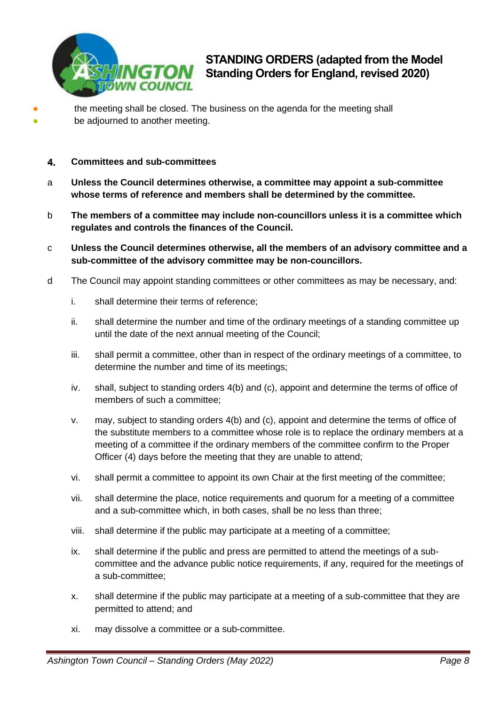

● ●

- the meeting shall be closed. The business on the agenda for the meeting shall be adjourned to another meeting.
- <span id="page-7-0"></span>4. **Committees and sub-committees**
- a **Unless the Council determines otherwise, a committee may appoint a sub-committee whose terms of reference and members shall be determined by the committee.**
- b **The members of a committee may include non-councillors unless it is a committee which regulates and controls the finances of the Council.**
- c **Unless the Council determines otherwise, all the members of an advisory committee and a sub-committee of the advisory committee may be non-councillors.**
- d The Council may appoint standing committees or other committees as may be necessary, and:
	- i. shall determine their terms of reference;
	- ii. shall determine the number and time of the ordinary meetings of a standing committee up until the date of the next annual meeting of the Council;
	- iii. shall permit a committee, other than in respect of the ordinary meetings of a committee, to determine the number and time of its meetings;
	- iv. shall, subject to standing orders 4(b) and (c), appoint and determine the terms of office of members of such a committee;
	- v. may, subject to standing orders 4(b) and (c), appoint and determine the terms of office of the substitute members to a committee whose role is to replace the ordinary members at a meeting of a committee if the ordinary members of the committee confirm to the Proper Officer (4) days before the meeting that they are unable to attend;
	- vi. shall permit a committee to appoint its own Chair at the first meeting of the committee;
	- vii. shall determine the place, notice requirements and quorum for a meeting of a committee and a sub-committee which, in both cases, shall be no less than three;
	- viii. shall determine if the public may participate at a meeting of a committee;
	- ix. shall determine if the public and press are permitted to attend the meetings of a subcommittee and the advance public notice requirements, if any, required for the meetings of a sub-committee;
	- x. shall determine if the public may participate at a meeting of a sub-committee that they are permitted to attend; and
	- xi. may dissolve a committee or a sub-committee.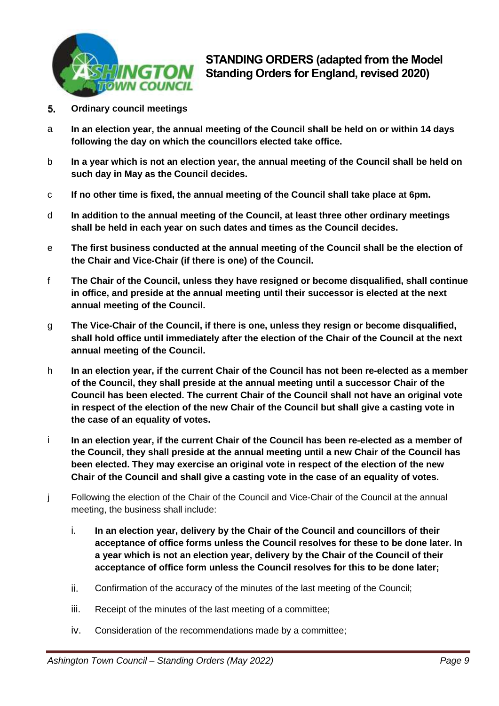

- <span id="page-8-0"></span>5. **Ordinary council meetings**
- a **In an election year, the annual meeting of the Council shall be held on or within 14 days following the day on which the councillors elected take office.**
- b **In a year which is not an election year, the annual meeting of the Council shall be held on such day in May as the Council decides.**
- c **If no other time is fixed, the annual meeting of the Council shall take place at 6pm.**
- d **In addition to the annual meeting of the Council, at least three other ordinary meetings shall be held in each year on such dates and times as the Council decides.**
- e **The first business conducted at the annual meeting of the Council shall be the election of the Chair and Vice-Chair (if there is one) of the Council.**
- f **The Chair of the Council, unless they have resigned or become disqualified, shall continue in office, and preside at the annual meeting until their successor is elected at the next annual meeting of the Council.**
- g **The Vice-Chair of the Council, if there is one, unless they resign or become disqualified, shall hold office until immediately after the election of the Chair of the Council at the next annual meeting of the Council.**
- h **In an election year, if the current Chair of the Council has not been re-elected as a member of the Council, they shall preside at the annual meeting until a successor Chair of the Council has been elected. The current Chair of the Council shall not have an original vote in respect of the election of the new Chair of the Council but shall give a casting vote in the case of an equality of votes.**
- i **In an election year, if the current Chair of the Council has been re-elected as a member of the Council, they shall preside at the annual meeting until a new Chair of the Council has been elected. They may exercise an original vote in respect of the election of the new Chair of the Council and shall give a casting vote in the case of an equality of votes.**
- j Following the election of the Chair of the Council and Vice-Chair of the Council at the annual meeting, the business shall include:
	- i. **In an election year, delivery by the Chair of the Council and councillors of their acceptance of office forms unless the Council resolves for these to be done later. In a year which is not an election year, delivery by the Chair of the Council of their acceptance of office form unless the Council resolves for this to be done later;**
	- ii. Confirmation of the accuracy of the minutes of the last meeting of the Council;
	- iii. Receipt of the minutes of the last meeting of a committee;
	- iv. Consideration of the recommendations made by a committee;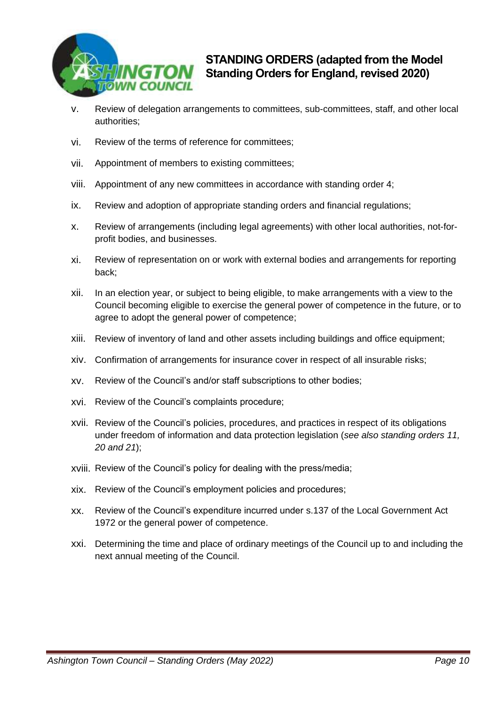

- v. Review of delegation arrangements to committees, sub-committees, staff, and other local authorities;
- vi. Review of the terms of reference for committees;
- vii. Appointment of members to existing committees;
- viii. Appointment of any new committees in accordance with standing order 4;
- ix. Review and adoption of appropriate standing orders and financial regulations;
- x. Review of arrangements (including legal agreements) with other local authorities, not-forprofit bodies, and businesses.
- xi. Review of representation on or work with external bodies and arrangements for reporting back;
- xii. In an election year, or subject to being eligible, to make arrangements with a view to the Council becoming eligible to exercise the general power of competence in the future, or to agree to adopt the general power of competence;
- xiii. Review of inventory of land and other assets including buildings and office equipment;
- xiv. Confirmation of arrangements for insurance cover in respect of all insurable risks;
- xv. Review of the Council's and/or staff subscriptions to other bodies;
- xvi. Review of the Council's complaints procedure;
- xvii. Review of the Council's policies, procedures, and practices in respect of its obligations under freedom of information and data protection legislation (*see also standing orders 11, 20 and 21*);
- xviii. Review of the Council's policy for dealing with the press/media;
- xix. Review of the Council's employment policies and procedures;
- xx. Review of the Council's expenditure incurred under s.137 of the Local Government Act 1972 or the general power of competence.
- <span id="page-9-0"></span>xxi. Determining the time and place of ordinary meetings of the Council up to and including the next annual meeting of the Council.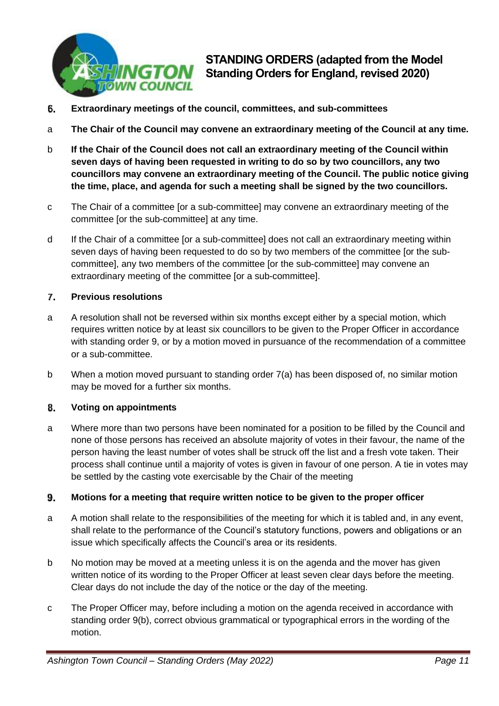

- 6. **Extraordinary meetings of the council, committees, and sub-committees**
- a **The Chair of the Council may convene an extraordinary meeting of the Council at any time.**
- b **If the Chair of the Council does not call an extraordinary meeting of the Council within seven days of having been requested in writing to do so by two councillors, any two councillors may convene an extraordinary meeting of the Council. The public notice giving the time, place, and agenda for such a meeting shall be signed by the two councillors.**
- c The Chair of a committee [or a sub-committee] may convene an extraordinary meeting of the committee [or the sub-committee] at any time.
- d If the Chair of a committee [or a sub-committee] does not call an extraordinary meeting within seven days of having been requested to do so by two members of the committee [or the subcommittee], any two members of the committee [or the sub-committee] may convene an extraordinary meeting of the committee [or a sub-committee].

### <span id="page-10-0"></span> $\mathbf{7}$ . **Previous resolutions**

- a A resolution shall not be reversed within six months except either by a special motion, which requires written notice by at least six councillors to be given to the Proper Officer in accordance with standing order 9, or by a motion moved in pursuance of the recommendation of a committee or a sub-committee.
- b When a motion moved pursuant to standing order 7(a) has been disposed of, no similar motion may be moved for a further six months.

### <span id="page-10-1"></span>8. **Voting on appointments**

a Where more than two persons have been nominated for a position to be filled by the Council and none of those persons has received an absolute majority of votes in their favour, the name of the person having the least number of votes shall be struck off the list and a fresh vote taken. Their process shall continue until a majority of votes is given in favour of one person. A tie in votes may be settled by the casting vote exercisable by the Chair of the meeting

### <span id="page-10-2"></span>9. **Motions for a meeting that require written notice to be given to the proper officer**

- a A motion shall relate to the responsibilities of the meeting for which it is tabled and, in any event, shall relate to the performance of the Council's statutory functions, powers and obligations or an issue which specifically affects the Council's area or its residents.
- b No motion may be moved at a meeting unless it is on the agenda and the mover has given written notice of its wording to the Proper Officer at least seven clear days before the meeting. Clear days do not include the day of the notice or the day of the meeting.
- c The Proper Officer may, before including a motion on the agenda received in accordance with standing order 9(b), correct obvious grammatical or typographical errors in the wording of the motion.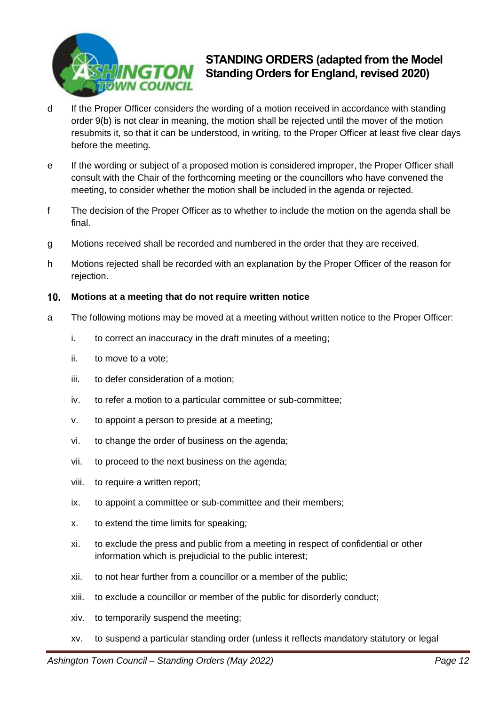

- d If the Proper Officer considers the wording of a motion received in accordance with standing order 9(b) is not clear in meaning, the motion shall be rejected until the mover of the motion resubmits it, so that it can be understood, in writing, to the Proper Officer at least five clear days before the meeting.
- e If the wording or subject of a proposed motion is considered improper, the Proper Officer shall consult with the Chair of the forthcoming meeting or the councillors who have convened the meeting, to consider whether the motion shall be included in the agenda or rejected.
- f The decision of the Proper Officer as to whether to include the motion on the agenda shall be final.
- g Motions received shall be recorded and numbered in the order that they are received.
- h Motions rejected shall be recorded with an explanation by the Proper Officer of the reason for rejection.

### <span id="page-11-0"></span> $10.$ **Motions at a meeting that do not require written notice**

- a The following motions may be moved at a meeting without written notice to the Proper Officer:
	- i. to correct an inaccuracy in the draft minutes of a meeting;
	- ii. to move to a vote;
	- iii. to defer consideration of a motion;
	- iv. to refer a motion to a particular committee or sub-committee;
	- v. to appoint a person to preside at a meeting;
	- vi. to change the order of business on the agenda;
	- vii. to proceed to the next business on the agenda;
	- viii. to require a written report;
	- ix. to appoint a committee or sub-committee and their members;
	- x. to extend the time limits for speaking;
	- xi. to exclude the press and public from a meeting in respect of confidential or other information which is prejudicial to the public interest;
	- xii. to not hear further from a councillor or a member of the public;
	- xiii. to exclude a councillor or member of the public for disorderly conduct;
	- xiv. to temporarily suspend the meeting;
	- xv. to suspend a particular standing order (unless it reflects mandatory statutory or legal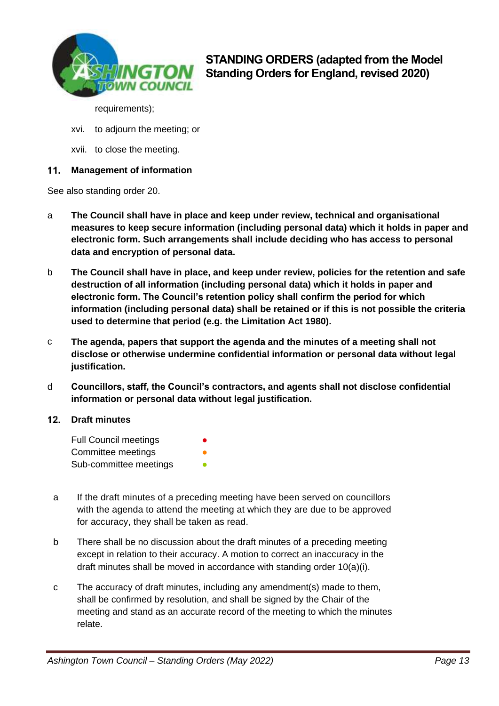

requirements);

- xvi. to adjourn the meeting; or
- xvii. to close the meeting.

### <span id="page-12-0"></span> $11.$ **Management of information**

See also standing order 20.

- a **The Council shall have in place and keep under review, technical and organisational measures to keep secure information (including personal data) which it holds in paper and electronic form. Such arrangements shall include deciding who has access to personal data and encryption of personal data.**
- b **The Council shall have in place, and keep under review, policies for the retention and safe destruction of all information (including personal data) which it holds in paper and electronic form. The Council's retention policy shall confirm the period for which information (including personal data) shall be retained or if this is not possible the criteria used to determine that period (e.g. the Limitation Act 1980).**
- c **The agenda, papers that support the agenda and the minutes of a meeting shall not disclose or otherwise undermine confidential information or personal data without legal justification.**
- d **Councillors, staff, the Council's contractors, and agents shall not disclose confidential information or personal data without legal justification.**

### <span id="page-12-1"></span>**Draft minutes**

| <b>Full Council meetings</b> |  |
|------------------------------|--|
| Committee meetings           |  |
| Sub-committee meetings       |  |

- a If the draft minutes of a preceding meeting have been served on councillors with the agenda to attend the meeting at which they are due to be approved for accuracy, they shall be taken as read.
- b There shall be no discussion about the draft minutes of a preceding meeting except in relation to their accuracy. A motion to correct an inaccuracy in the draft minutes shall be moved in accordance with standing order 10(a)(i).
- c The accuracy of draft minutes, including any amendment(s) made to them, shall be confirmed by resolution, and shall be signed by the Chair of the meeting and stand as an accurate record of the meeting to which the minutes relate.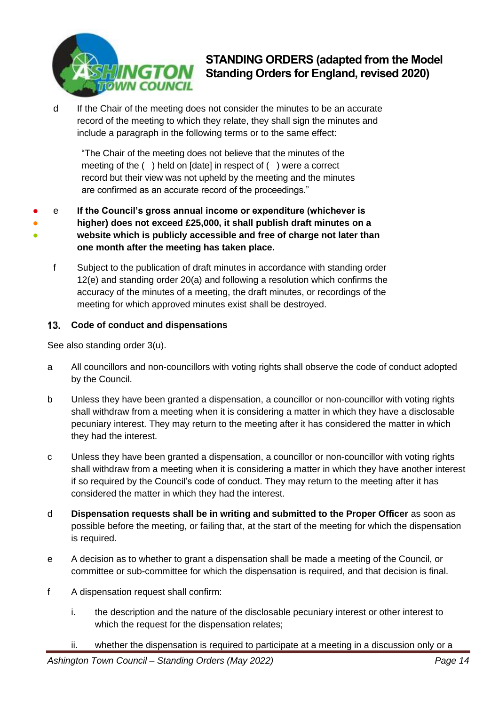

d If the Chair of the meeting does not consider the minutes to be an accurate record of the meeting to which they relate, they shall sign the minutes and include a paragraph in the following terms or to the same effect:

"The Chair of the meeting does not believe that the minutes of the meeting of the ( ) held on [date] in respect of ( ) were a correct record but their view was not upheld by the meeting and the minutes are confirmed as an accurate record of the proceedings."

- ● ● e **If the Council's gross annual income or expenditure (whichever is higher) does not exceed £25,000, it shall publish draft minutes on a website which is publicly accessible and free of charge not later than one month after the meeting has taken place.**
	- f Subject to the publication of draft minutes in accordance with standing order 12(e) and standing order 20(a) and following a resolution which confirms the accuracy of the minutes of a meeting, the draft minutes, or recordings of the meeting for which approved minutes exist shall be destroyed.

### <span id="page-13-0"></span> $13.$ **Code of conduct and dispensations**

See also standing order 3(u).

- a All councillors and non-councillors with voting rights shall observe the code of conduct adopted by the Council.
- b Unless they have been granted a dispensation, a councillor or non-councillor with voting rights shall withdraw from a meeting when it is considering a matter in which they have a disclosable pecuniary interest. They may return to the meeting after it has considered the matter in which they had the interest.
- c Unless they have been granted a dispensation, a councillor or non-councillor with voting rights shall withdraw from a meeting when it is considering a matter in which they have another interest if so required by the Council's code of conduct. They may return to the meeting after it has considered the matter in which they had the interest.
- d **Dispensation requests shall be in writing and submitted to the Proper Officer** as soon as possible before the meeting, or failing that, at the start of the meeting for which the dispensation is required.
- e A decision as to whether to grant a dispensation shall be made a meeting of the Council, or committee or sub-committee for which the dispensation is required, and that decision is final.
- f A dispensation request shall confirm:
	- i. the description and the nature of the disclosable pecuniary interest or other interest to which the request for the dispensation relates;
	- ii. whether the dispensation is required to participate at a meeting in a discussion only or a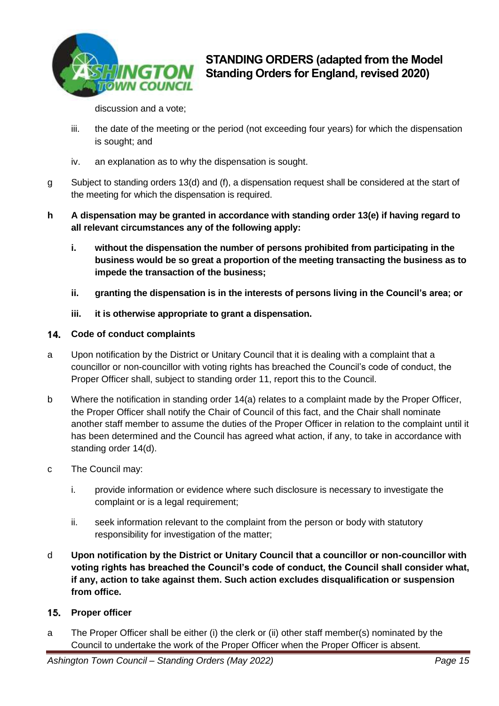

discussion and a vote;

- iii. the date of the meeting or the period (not exceeding four years) for which the dispensation is sought; and
- iv. an explanation as to why the dispensation is sought.
- g Subject to standing orders 13(d) and (f), a dispensation request shall be considered at the start of the meeting for which the dispensation is required.
- **h A dispensation may be granted in accordance with standing order 13(e) if having regard to all relevant circumstances any of the following apply:**
	- **i. without the dispensation the number of persons prohibited from participating in the business would be so great a proportion of the meeting transacting the business as to impede the transaction of the business;**
	- **ii. granting the dispensation is in the interests of persons living in the Council's area; or**
	- **iii. it is otherwise appropriate to grant a dispensation.**

### <span id="page-14-0"></span>14. **Code of conduct complaints**

- a Upon notification by the District or Unitary Council that it is dealing with a complaint that a councillor or non-councillor with voting rights has breached the Council's code of conduct, the Proper Officer shall, subject to standing order 11, report this to the Council.
- b Where the notification in standing order 14(a) relates to a complaint made by the Proper Officer, the Proper Officer shall notify the Chair of Council of this fact, and the Chair shall nominate another staff member to assume the duties of the Proper Officer in relation to the complaint until it has been determined and the Council has agreed what action, if any, to take in accordance with standing order 14(d).
- c The Council may:
	- i. provide information or evidence where such disclosure is necessary to investigate the complaint or is a legal requirement;
	- ii. seek information relevant to the complaint from the person or body with statutory responsibility for investigation of the matter;
- d **Upon notification by the District or Unitary Council that a councillor or non-councillor with voting rights has breached the Council's code of conduct, the Council shall consider what, if any, action to take against them. Such action excludes disqualification or suspension from office.**

### <span id="page-14-1"></span>**Proper officer**   $15.$

a The Proper Officer shall be either (i) the clerk or (ii) other staff member(s) nominated by the Council to undertake the work of the Proper Officer when the Proper Officer is absent.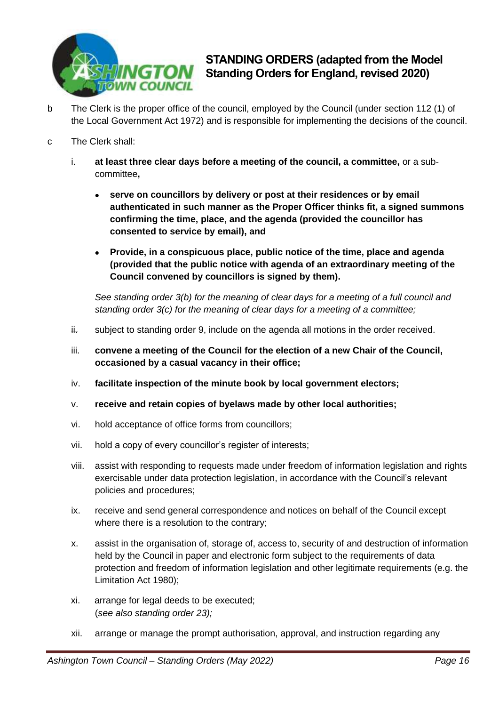

- b The Clerk is the proper office of the council, employed by the Council (under section 112 (1) of the Local Government Act 1972) and is responsible for implementing the decisions of the council.
- c The Clerk shall:
	- i. **at least three clear days before a meeting of the council, a committee,** or a subcommittee**,**
		- **serve on councillors by delivery or post at their residences or by email authenticated in such manner as the Proper Officer thinks fit, a signed summons confirming the time, place, and the agenda (provided the councillor has consented to service by email), and**
		- **Provide, in a conspicuous place, public notice of the time, place and agenda (provided that the public notice with agenda of an extraordinary meeting of the Council convened by councillors is signed by them).**

*See standing order 3(b) for the meaning of clear days for a meeting of a full council and standing order 3(c) for the meaning of clear days for a meeting of a committee;*

- $\ddot{H}$  subject to standing order 9, include on the agenda all motions in the order received.
- iii. **convene a meeting of the Council for the election of a new Chair of the Council, occasioned by a casual vacancy in their office;**
- iv. **facilitate inspection of the minute book by local government electors;**
- v. **receive and retain copies of byelaws made by other local authorities;**
- vi. hold acceptance of office forms from councillors;
- vii. hold a copy of every councillor's register of interests;
- viii. assist with responding to requests made under freedom of information legislation and rights exercisable under data protection legislation, in accordance with the Council's relevant policies and procedures;
- ix. receive and send general correspondence and notices on behalf of the Council except where there is a resolution to the contrary;
- x. assist in the organisation of, storage of, access to, security of and destruction of information held by the Council in paper and electronic form subject to the requirements of data protection and freedom of information legislation and other legitimate requirements (e.g. the Limitation Act 1980);
- xi. arrange for legal deeds to be executed; (*see also standing order 23);*
- xii. arrange or manage the prompt authorisation, approval, and instruction regarding any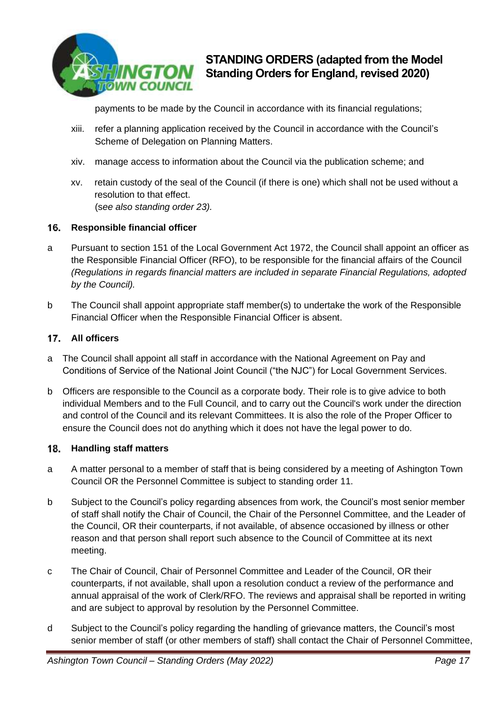

payments to be made by the Council in accordance with its financial regulations;

- xiii. refer a planning application received by the Council in accordance with the Council's Scheme of Delegation on Planning Matters.
- xiv. manage access to information about the Council via the publication scheme; and
- xv. retain custody of the seal of the Council (if there is one) which shall not be used without a resolution to that effect. (s*ee also standing order 23).*

### <span id="page-16-0"></span>16. **Responsible financial officer**

- a Pursuant to section 151 of the Local Government Act 1972, the Council shall appoint an officer as the Responsible Financial Officer (RFO), to be responsible for the financial affairs of the Council *(Regulations in regards financial matters are included in separate Financial Regulations, adopted by the Council).*
- b The Council shall appoint appropriate staff member(s) to undertake the work of the Responsible Financial Officer when the Responsible Financial Officer is absent.

### **All officers**

- a The Council shall appoint all staff in accordance with the National Agreement on Pay and Conditions of Service of the National Joint Council ("the NJC") for Local Government Services.
- b Officers are responsible to the Council as a corporate body. Their role is to give advice to both individual Members and to the Full Council, and to carry out the Council's work under the direction and control of the Council and its relevant Committees. It is also the role of the Proper Officer to ensure the Council does not do anything which it does not have the legal power to do.

### <span id="page-16-1"></span>18. **Handling staff matters**

- a A matter personal to a member of staff that is being considered by a meeting of Ashington Town Council OR the Personnel Committee is subject to standing order 11.
- b Subject to the Council's policy regarding absences from work, the Council's most senior member of staff shall notify the Chair of Council, the Chair of the Personnel Committee, and the Leader of the Council, OR their counterparts, if not available, of absence occasioned by illness or other reason and that person shall report such absence to the Council of Committee at its next meeting.
- c The Chair of Council, Chair of Personnel Committee and Leader of the Council, OR their counterparts, if not available, shall upon a resolution conduct a review of the performance and annual appraisal of the work of Clerk/RFO. The reviews and appraisal shall be reported in writing and are subject to approval by resolution by the Personnel Committee.
- d Subject to the Council's policy regarding the handling of grievance matters, the Council's most senior member of staff (or other members of staff) shall contact the Chair of Personnel Committee,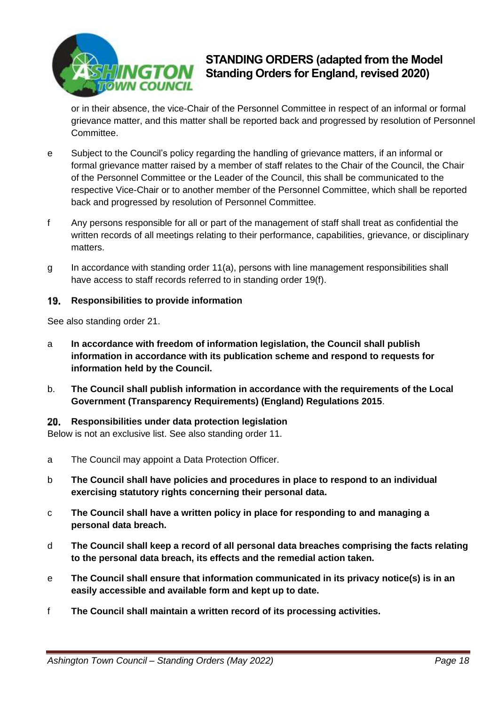

or in their absence, the vice-Chair of the Personnel Committee in respect of an informal or formal grievance matter, and this matter shall be reported back and progressed by resolution of Personnel Committee.

- e Subject to the Council's policy regarding the handling of grievance matters, if an informal or formal grievance matter raised by a member of staff relates to the Chair of the Council, the Chair of the Personnel Committee or the Leader of the Council, this shall be communicated to the respective Vice-Chair or to another member of the Personnel Committee, which shall be reported back and progressed by resolution of Personnel Committee.
- f Any persons responsible for all or part of the management of staff shall treat as confidential the written records of all meetings relating to their performance, capabilities, grievance, or disciplinary matters.
- g In accordance with standing order 11(a), persons with line management responsibilities shall have access to staff records referred to in standing order 19(f).

### <span id="page-17-0"></span>**Responsibilities to provide information** 19.

See also standing order 21.

- a **In accordance with freedom of information legislation, the Council shall publish information in accordance with its publication scheme and respond to requests for information held by the Council.**
- b. **The Council shall publish information in accordance with the requirements of the Local Government (Transparency Requirements) (England) Regulations 2015**.

### <span id="page-17-1"></span>20. **Responsibilities under data protection legislation**

Below is not an exclusive list. See also standing order 11.

- a The Council may appoint a Data Protection Officer.
- b **The Council shall have policies and procedures in place to respond to an individual exercising statutory rights concerning their personal data.**
- c **The Council shall have a written policy in place for responding to and managing a personal data breach.**
- d **The Council shall keep a record of all personal data breaches comprising the facts relating to the personal data breach, its effects and the remedial action taken.**
- e **The Council shall ensure that information communicated in its privacy notice(s) is in an easily accessible and available form and kept up to date.**
- f **The Council shall maintain a written record of its processing activities.**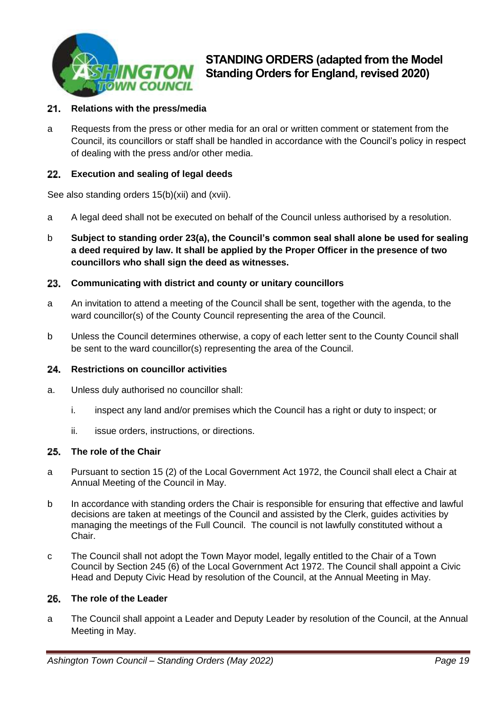

### <span id="page-18-1"></span> $21.$ **Relations with the press/media**

a Requests from the press or other media for an oral or written comment or statement from the Council, its councillors or staff shall be handled in accordance with the Council's policy in respect of dealing with the press and/or other media.

### <span id="page-18-2"></span>**Execution and sealing of legal deeds**

See also standing orders 15(b)(xii) and (xvii).

- a A legal deed shall not be executed on behalf of the Council unless authorised by a resolution.
- b **Subject to standing order 23(a), the Council's common seal shall alone be used for sealing a deed required by law. It shall be applied by the Proper Officer in the presence of two councillors who shall sign the deed as witnesses.**

### <span id="page-18-3"></span>**Communicating with district and county or unitary councillors** 23.

- a An invitation to attend a meeting of the Council shall be sent, together with the agenda, to the ward councillor(s) of the County Council representing the area of the Council.
- b Unless the Council determines otherwise, a copy of each letter sent to the County Council shall be sent to the ward councillor(s) representing the area of the Council.

### <span id="page-18-4"></span>**Restrictions on councillor activities** 24.

- a. Unless duly authorised no councillor shall:
	- i. inspect any land and/or premises which the Council has a right or duty to inspect; or
	- ii. issue orders, instructions, or directions.

### <span id="page-18-0"></span>25. **The role of the Chair**

- a Pursuant to section 15 (2) of the Local Government Act 1972, the Council shall elect a Chair at Annual Meeting of the Council in May.
- b In accordance with standing orders the Chair is responsible for ensuring that effective and lawful decisions are taken at meetings of the Council and assisted by the Clerk, guides activities by managing the meetings of the Full Council. The council is not lawfully constituted without a Chair.
- c The Council shall not adopt the Town Mayor model, legally entitled to the Chair of a Town Council by Section 245 (6) of the Local Government Act 1972. The Council shall appoint a Civic Head and Deputy Civic Head by resolution of the Council, at the Annual Meeting in May.

### 26. **The role of the Leader**

a The Council shall appoint a Leader and Deputy Leader by resolution of the Council, at the Annual Meeting in May.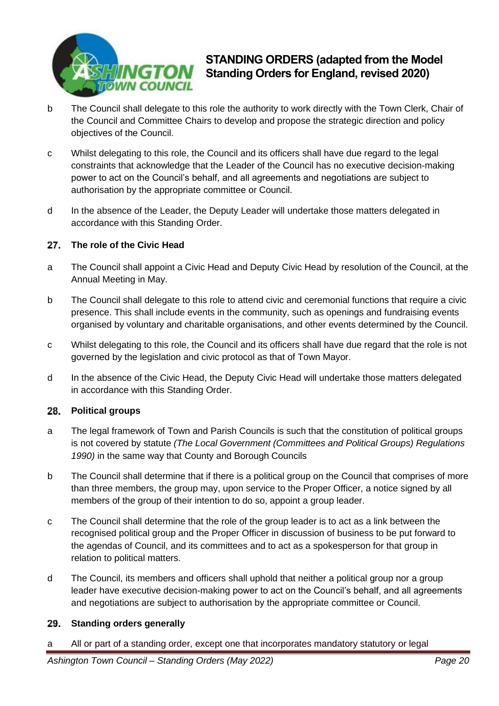

- b The Council shall delegate to this role the authority to work directly with the Town Clerk, Chair of the Council and Committee Chairs to develop and propose the strategic direction and policy objectives of the Council.
- c Whilst delegating to this role, the Council and its officers shall have due regard to the legal constraints that acknowledge that the Leader of the Council has no executive decision-making power to act on the Council's behalf, and all agreements and negotiations are subject to authorisation by the appropriate committee or Council.
- d In the absence of the Leader, the Deputy Leader will undertake those matters delegated in accordance with this Standing Order.

### 27. **The role of the Civic Head**

- a The Council shall appoint a Civic Head and Deputy Civic Head by resolution of the Council, at the Annual Meeting in May.
- b The Council shall delegate to this role to attend civic and ceremonial functions that require a civic presence. This shall include events in the community, such as openings and fundraising events organised by voluntary and charitable organisations, and other events determined by the Council.
- c Whilst delegating to this role, the Council and its officers shall have due regard that the role is not governed by the legislation and civic protocol as that of Town Mayor.
- d In the absence of the Civic Head, the Deputy Civic Head will undertake those matters delegated in accordance with this Standing Order.

### 28. **Political groups**

- a The legal framework of Town and Parish Councils is such that the constitution of political groups is not covered by statute *(The Local Government (Committees and Political Groups) Regulations 1990)* in the same way that County and Borough Councils
- b The Council shall determine that if there is a political group on the Council that comprises of more than three members, the group may, upon service to the Proper Officer, a notice signed by all members of the group of their intention to do so, appoint a group leader.
- c The Council shall determine that the role of the group leader is to act as a link between the recognised political group and the Proper Officer in discussion of business to be put forward to the agendas of Council, and its committees and to act as a spokesperson for that group in relation to political matters.
- d The Council, its members and officers shall uphold that neither a political group nor a group leader have executive decision-making power to act on the Council's behalf, and all agreements and negotiations are subject to authorisation by the appropriate committee or Council.

### 29. **Standing orders generally**

a All or part of a standing order, except one that incorporates mandatory statutory or legal